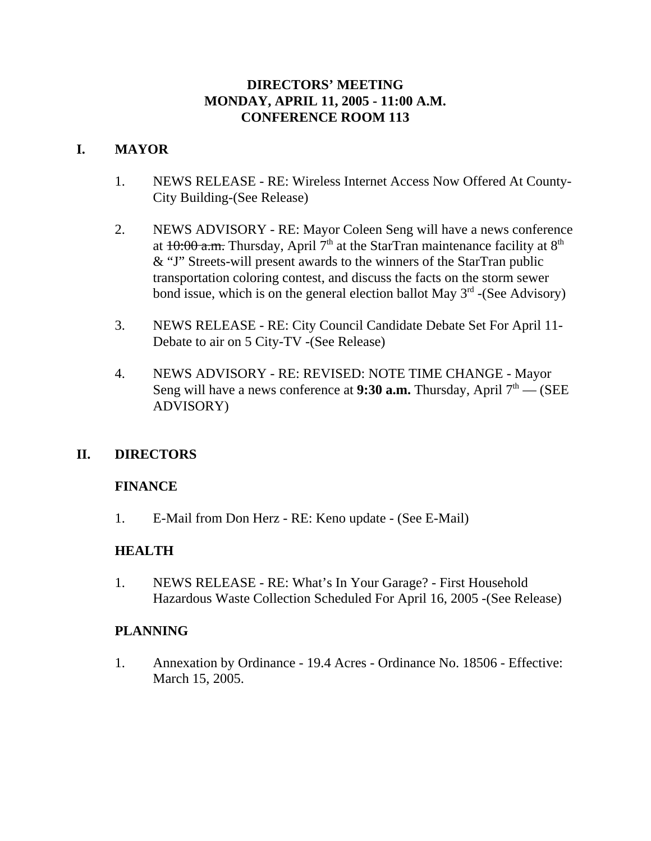### **DIRECTORS' MEETING MONDAY, APRIL 11, 2005 - 11:00 A.M. CONFERENCE ROOM 113**

# **I. MAYOR**

- 1. NEWS RELEASE RE: Wireless Internet Access Now Offered At County-City Building-(See Release)
- 2. NEWS ADVISORY RE: Mayor Coleen Seng will have a news conference at  $10:00$  a.m. Thursday, April 7<sup>th</sup> at the StarTran maintenance facility at 8<sup>th</sup> & "J" Streets-will present awards to the winners of the StarTran public transportation coloring contest, and discuss the facts on the storm sewer bond issue, which is on the general election ballot May  $3<sup>rd</sup>$  -(See Advisory)
- 3. NEWS RELEASE RE: City Council Candidate Debate Set For April 11- Debate to air on 5 City-TV -(See Release)
- 4. NEWS ADVISORY RE: REVISED: NOTE TIME CHANGE Mayor Seng will have a news conference at **9:30 a.m.** Thursday, April  $7<sup>th</sup>$  - (SEE ADVISORY)

### **II. DIRECTORS**

### **FINANCE**

1. E-Mail from Don Herz - RE: Keno update - (See E-Mail)

### **HEALTH**

1. NEWS RELEASE - RE: What's In Your Garage? - First Household Hazardous Waste Collection Scheduled For April 16, 2005 -(See Release)

#### **PLANNING**

1. Annexation by Ordinance - 19.4 Acres - Ordinance No. 18506 - Effective: March 15, 2005.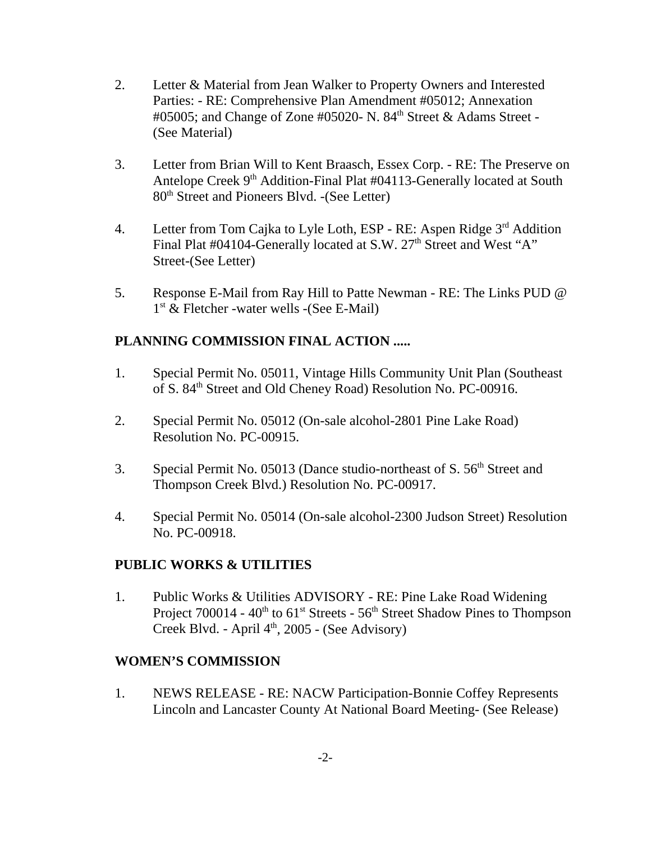- 2. Letter & Material from Jean Walker to Property Owners and Interested Parties: - RE: Comprehensive Plan Amendment #05012; Annexation  $\#05005$ ; and Change of Zone  $\#05020$ - N. 84<sup>th</sup> Street & Adams Street -(See Material)
- 3. Letter from Brian Will to Kent Braasch, Essex Corp. RE: The Preserve on Antelope Creek 9<sup>th</sup> Addition-Final Plat #04113-Generally located at South 80th Street and Pioneers Blvd. -(See Letter)
- 4. Letter from Tom Cajka to Lyle Loth, ESP RE: Aspen Ridge 3<sup>rd</sup> Addition Final Plat #04104-Generally located at S.W. 27<sup>th</sup> Street and West "A" Street-(See Letter)
- 5. Response E-Mail from Ray Hill to Patte Newman RE: The Links PUD @ 1st & Fletcher -water wells -(See E-Mail)

# **PLANNING COMMISSION FINAL ACTION .....**

- 1. Special Permit No. 05011, Vintage Hills Community Unit Plan (Southeast of S. 84<sup>th</sup> Street and Old Cheney Road) Resolution No. PC-00916.
- 2. Special Permit No. 05012 (On-sale alcohol-2801 Pine Lake Road) Resolution No. PC-00915.
- 3. Special Permit No. 05013 (Dance studio-northeast of  $S$ ,  $56<sup>th</sup>$  Street and Thompson Creek Blvd.) Resolution No. PC-00917.
- 4. Special Permit No. 05014 (On-sale alcohol-2300 Judson Street) Resolution No. PC-00918.

### **PUBLIC WORKS & UTILITIES**

1. Public Works & Utilities ADVISORY - RE: Pine Lake Road Widening Project 700014 - 40<sup>th</sup> to 61<sup>st</sup> Streets - 56<sup>th</sup> Street Shadow Pines to Thompson Creek Blvd. - April 4<sup>th</sup>, 2005 - (See Advisory)

### **WOMEN'S COMMISSION**

1. NEWS RELEASE - RE: NACW Participation-Bonnie Coffey Represents Lincoln and Lancaster County At National Board Meeting- (See Release)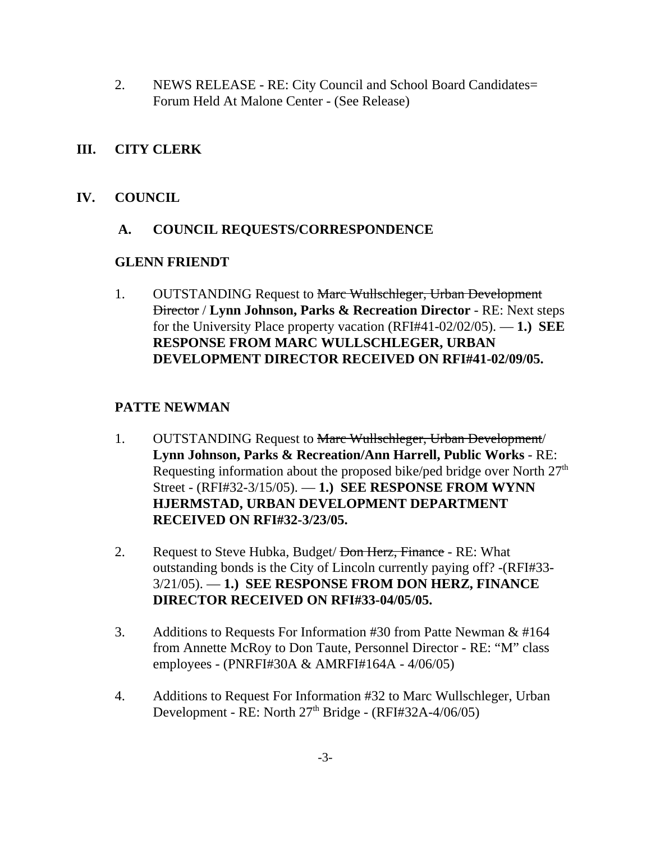2. NEWS RELEASE - RE: City Council and School Board Candidates= Forum Held At Malone Center - (See Release)

# **III. CITY CLERK**

### **IV. COUNCIL**

### **A. COUNCIL REQUESTS/CORRESPONDENCE**

### **GLENN FRIENDT**

1. OUTSTANDING Request to Marc Wullschleger, Urban Development Director / **Lynn Johnson, Parks & Recreation Director** - RE: Next steps for the University Place property vacation (RFI#41-02/02/05). — **1.) SEE RESPONSE FROM MARC WULLSCHLEGER, URBAN DEVELOPMENT DIRECTOR RECEIVED ON RFI#41-02/09/05.**

# **PATTE NEWMAN**

- 1. OUTSTANDING Request to Marc Wullschleger, Urban Development/ **Lynn Johnson, Parks & Recreation/Ann Harrell, Public Works** - RE: Requesting information about the proposed bike/ped bridge over North  $27<sup>th</sup>$ Street - (RFI#32-3/15/05). — **1.) SEE RESPONSE FROM WYNN HJERMSTAD, URBAN DEVELOPMENT DEPARTMENT RECEIVED ON RFI#32-3/23/05.**
- 2. Request to Steve Hubka, Budget/<del>Don Herz, Finance</del> RE: What outstanding bonds is the City of Lincoln currently paying off? -(RFI#33- 3/21/05). — **1.) SEE RESPONSE FROM DON HERZ, FINANCE DIRECTOR RECEIVED ON RFI#33-04/05/05.**
- 3. Additions to Requests For Information #30 from Patte Newman & #164 from Annette McRoy to Don Taute, Personnel Director - RE: "M" class employees - (PNRFI#30A & AMRFI#164A - 4/06/05)
- 4. Additions to Request For Information #32 to Marc Wullschleger, Urban Development - RE: North  $27<sup>th</sup>$  Bridge - (RFI#32A-4/06/05)